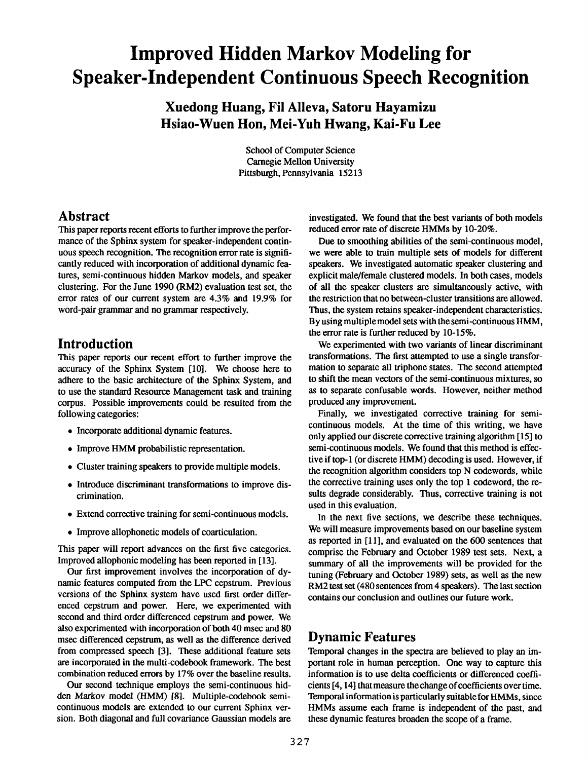# **Improved Hidden Markov Modeling for Speaker-Independent Continuous Speech Recognition**

**Xuedong Huang, Fil Alleva, Satoru Hayamizu Hsiao-Wuen Hon, Mei-Yuh Hwang, Kai-Fu Lee** 

> School of Computer Science Carnegie Mellon University Pittsburgh, Pennsylvania 15213

#### **Abstract**

This paper reports recent efforts to further improve the performance of the Sphinx system for speaker-independent continuous speech recognition. The recognition error rate is significantly reduced with incorporation of additional dynamic features, semi-continuous hidden Markov models, and speaker clustering. For the June 1990 (RM2) evaluation test set, the error rates of our current system are 4.3% and 19.9% for word-pair grammar and no grammar respectively.

# **Introduction**

This paper reports our recent effort to further improve the accuracy of the Sphinx System [10]. We choose here to adhere to the basic architecture of the Sphinx System, and to use the standard Resource Management task and training corpus. Possible improvements could be resulted from the following categories:

- Incorporate additional dynamic features.
- Improve HMM probabilistic representation.
- Cluster training speakers to provide multiple models.
- Introduce discriminant transformations to improve discrimination.
- Extend corrective training for semi-continuous models.
- Improve allophonetic models of coarticulation.

This paper will report advances on the first five categories. Improved allophonic modeling has been reported in [13].

Our first improvement involves the incorporation of dynamic features computed from the LPC cepstrum. Previous versions of the Sphinx system have used first order differenced cepstrum and power. Here, we experimented with second and third order differenced cepstrum and power. We also experimented with incorporation of both 40 msec and 80 msec differenced cepstrum, as well as the difference derived from compressed speech [3]. These additional feature sets are incorporated in the multi-codebook framework. The best combination reduced errors by 17% over the baseline results.

Our second technique employs the semi-continuous hidden Markov model (HMM) [8]. Multiple-codebook semicontinuous models are extended to our current Sphinx version. Both diagonal and full covariance Gaussian models are investigated. We found that the best variants of both models reduced error rate of discrete HMMs by 10-20%.

Due to smoothing abilities of the semi-continuous model, we were able to train multiple sets of models for different speakers. We investigated automatic speaker clustering and explicit male/female clustered models. In both cases, models of all the speaker clusters are simultaneously active, with the restriction that no between-cluster transitions are allowed. Thus, the system retains speaker-independent characteristics. By using multiple model sets with the semi-continuous HMM, the error rate is further reduced by 10-15%.

We experimented with two variants of linear discriminant transformations. The first attempted to use a single transformation to separate all triphone states. The second attempted **to** shift the mean vectors of the semi-continuous mixtures, so as to separate confusable words. However, neither method produced any improvement.

Finally, we investigated corrective training for semicontinuous models. At the time of this writing, we have only applied our discrete corrective training algorithm [15] to semi-continuous models. We found that this method is effective if top-1 (or discrete HMM) decoding is used. However, if the recognition algorithm considers top N codewords, while the corrective training uses only the top 1 codeword, the resuits degrade considerably. Thus, corrective training is not used in this evaluation.

In the next five sections, we describe these techniques. We will measure improvements based on our baseline system as reported in [11], and evaluated on the 600 sentences that comprise the February and October 1989 test sets. Next, a summary of all the improvements will be provided for the tuning (February and October 1989) sets, as well as the new RM2 test set (480 sentences from 4 speakers). The last section contains our conclusion and outlines our future work.

# **Dynamic Features**

Temporal changes in the spectra are believed to play an important role in human perception. One way to capture this information is to use delta coefficients or differenced coefficients [4, 14] that measure the change of coefficients over time. Temporal information is particularly suitable for HMMs, since HMMs assume each frame is independent of the past, and these dynamic features broaden the scope of a frame.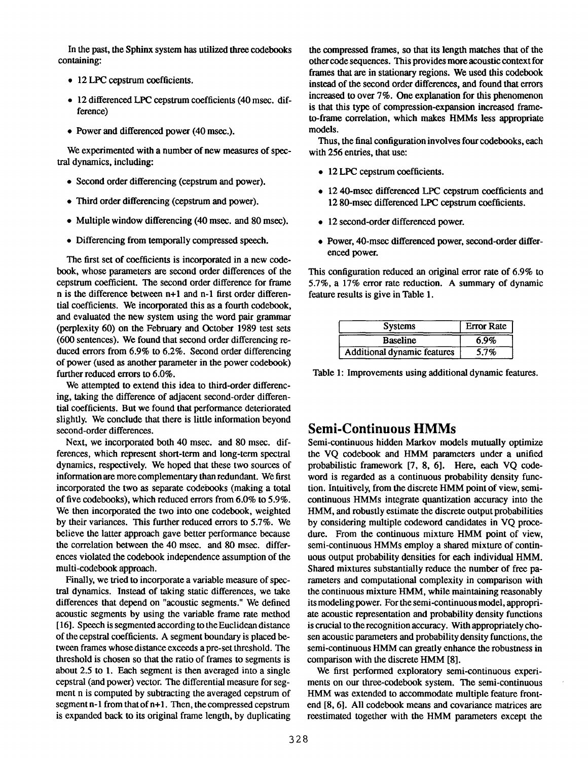In the past, the Sphinx system has utilized three codebooks containing:

- 12 LPC cepstrum coefficients.
- 12 differenced LPC cepstrum coefficients (40 msec. difference)
- Power and differenced power (40 msec.).

We experimented with a number of new measures of spectral dynamics, including:

- Second order differencing (cepstrum and power).
- Third order differencing (cepstrum and power).
- Multiple window differencing (40 msec. and 80 msec).
- Differencing from temporally compressed speech.

The first set of coefficients is incorporated in a new codebook, whose parameters are second order differences of the cepstrum coefficient. The second order difference for frame n is the difference between n+l and n-1 first order differential coefficients. We incorporated this as a fourth codebook, and evaluated the new system using the word pair grammar (perplexity 60) on the February and October 1989 test sets (600 sentences). We found that second order differencing reduced errors from 6.9% to 6.2%. Second order differencing of power (used as another parameter in the power codebook) further reduced errors to 6.0%.

We attempted to extend this idea to third-order differencing, taking the difference of adjacent second-order differential coefficients. But we found that performance deteriorated slightly. We conclude that there is little information beyond second-order differences.

Next, we incorporated both 40 msec. and 80 msec. differences, which represent short-term and long-term spectral dynamics, respectively. We hoped that these two sources of information are more complementary than redundant. We first incorporated the two as separate codebooks (making a total of five codebooks), which reduced errors from 6.0% to 5.9%. We then incorporated the two into one codebook, weighted by their variances. This further reduced errors to 5.7%. We believe the latter approach gave better performance because the correlation between the 40 msec. and 80 msec. differences violated the codebook independence assumption of the multi-codebook approach.

Finally, we tried to incorporate a variable measure of spectral dynamics. Instead of taking static differences, we take differences that depend on "acoustic segments." We defined acoustic segments by using the variable frame rate method [16]. Speech is segmented according to theEuclidean distance of the cepstral coefficients. A segment boundary is placed between frames whose distance exceeds a pre-set threshold. The threshold is chosen so that the ratio of frames to segments is about 2.5 to 1. Each segment is then averaged into a single cepstral (and power) vector. The differential measure for segment n is computed by subtracting the averaged cepstrum of segment  $n-1$  from that of  $n+1$ . Then, the compressed cepstrum is expanded back to its original frame length, by duplicating

the compressed frames, so that its length matches that of the other code sequences. This provides more acoustic context for frames that are in stationary regions. We used this codebook instead of the second order differences, and found that errors increased to over 7%. One explanation for this phenomenon is that this type of compression-expansion increased frameto-frame correlation, which makes HMMs less appropriate models.

Thus, the final configuration involves four codebooks, each with 256 entries, that use:

- 12 LPC cepstrum coefficients.
- 12 40-msec differenced LPC cepstrum coefficients and 12 80-msec differenced LPC cepstrum coefficients.
- 12 second-order differenced power.
- Power, 40-msec differenced power, second-order differenced power.

This configuration reduced an original error rate of 6.9% to 5.7%, a 17% error rate reduction. A summary of dynamic feature results is give in Table 1.

| <b>Systems</b>                     | <b>Error Rate</b> |
|------------------------------------|-------------------|
| <b>Baseline</b>                    | 6.9%              |
| <b>Additional dynamic features</b> | 5.7%              |

Table 1: Improvements using additional dynamic features.

#### **Semi-Continuous HMMs**

Semi-continuous hidden Markov models mutually optimize the VQ codebook and HMM parameters under a unified probabilistic framework [7, 8, 6]. Here, each VQ codeword is regarded as a continuous probability density function. Intuitively, from the discrete HMM point of view, semicontinuous HMMs integrate quantization accuracy into the HMM, and robustly estimate the discrete output probabilities by considering multiple codeword candidates in VQ procedure. From the continuous mixture HMM point of view, semi-continuous HMMs employ a shared mixture of continuous output probability densities for each individual HMM. Shared mixtures substantially reduce the number of free parameters and computational complexity in comparison with the continuous mixture HMM, while maintaining reasonably its modeling power. For the semi-continuous model, appropriate acoustic representation and probability density functions is crucial to the recognition accuracy. With appropriately chosen acoustic parameters and probability density functions, the semi-continuous HMM can greatly enhance the robustness in comparison with the discrete HMM [8].

We first performed exploratory semi-continuous experiments on our three-codebook system. The semi-continuous HMM was extended to accommodate multiple feature frontend [8, 6]. All codebook means and covariance matrices are reestimated together with the HMM parameters except the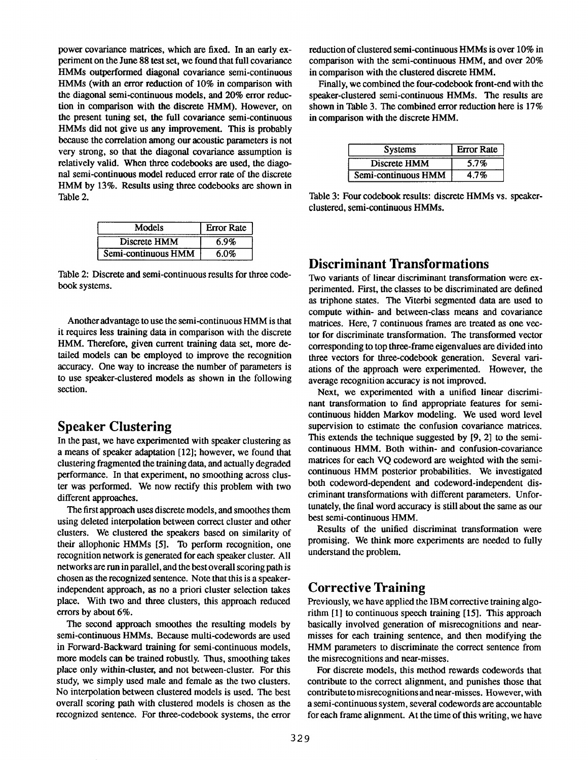power covariance matrices, which are fixed. In an early experiment on the June 88 test set, we found that full covariance HMMs outperformed diagonal covariance semi-continuous HMMs (with an error reduction of 10% in comparison with the diagonal semi-continuous models, and 20% error reduction in comparison with the discrete HMM). However, on the present tuning set, the full covariance semi-continuous HMMs did not give us any improvement. This is probably because the correlation among our acoustic parameters is not very strong, so that the diagonal covariance assumption is relatively valid. When three codebooks are used, the diagonal semi-continuous model reduced error rate of the discrete HMM by 13%. Results using three codebooks are shown in Table 2.

| Models              | <b>Error Rate</b> |
|---------------------|-------------------|
| Discrete HMM        | 6.9%              |
| Semi-continuous HMM | 6.0%              |

Table 2: Discrete and semi-continuous results for three codebook systems.

Another advantage to use the semi-continuous HMM is that it requires less training data in comparison with the discrete HMM. Therefore, given current training data set, more detailed models can be employed to improve the recognition accuracy. One way to increase the number of parameters is to use speaker-clustered models as shown in the following section.

## **Speaker Clustering**

In the past, we have experimented with speaker clustering as a means of speaker adaptation [12]; however, we found that clustering fragmented the training data, and actually degraded performance. In that experiment, no smoothing across cluster was performed. We now rectify this problem with two different approaches.

The first approach uses discrete models, and smoothes them using deleted interpolation between correct cluster and other clusters. We clustered the speakers based on similarity of their allophonic HMMs [5]. To perform recognition, one recognition network is generated for each speaker cluster. All networks are run in parallel, and the best overall scoring path is chosen as the recognized sentence. Note that this is a speakerindependent approach, as no a priori cluster selection takes place. With two and three clusters, this approach reduced errors by about 6%.

The second approach smoothes the resulting models by semi-continuous HMMs. Because multi-codewords are used in Forward-Backward training for semi-continuous models, more models can be trained robustly. Thus, smoothing takes place only within-cluster, and not between-cluster. For this study, we simply used male and female as the two clusters. No interpolation between clustered models is used. The best overall scoring path with clustered models is chosen as the recognized sentence. For three-codebook systems, the error reduction of clustered semi-continuous HMMs is over 10% in comparison with the semi-continuous HMM, and over 20% in comparison with the clustered discrete HMM.

Finally, we combined the four-codebook front-end with the speaker-clustered semi-continuous HMMs. The results are shown in Table 3. The combined error reduction here is 17% in comparison with the discrete HMM.

| <b>Systems</b>      | <b>Error Rate</b> |
|---------------------|-------------------|
| Discrete HMM        | 5.7%              |
| Semi-continuous HMM | 4.7%              |

Table 3: Four codebook results: discrete HMMs vs. speakerclustered, semi-continuous HMMs.

## **Discriminant Transformations**

Two variants of linear discriminant transformation were experimented. First, the classes to be discriminated are defined as triphone states. The Viterbi segmented data are used to compute within- and between-class means and covariance matrices. Here, 7 continuous frames are treated as one vector for discriminate transformation. The transformed vector corresponding to top three-frame eigenvalues are divided into three vectors for three-codebook generation. Several variations of the approach were experimented. However, the average recognition accuracy is not improved.

Next, we experimented with a unified linear discriminant transformation to find appropriate features for semicontinuous hidden Markov modeling. We used word level supervision to estimate the confusion covariance matrices. This extends the technique suggested by [9, 2] to the semicontinuous HMM. Both within- and confusion-covariance matrices for each VQ codeword are weighted with the semicontinuous HMM posterior probabilities. We investigated both codeword-dependent and codeword-independent discriminant transformations with different parameters. Unfortunately, the final word accuracy is still about the same as our best semi-continuous HMM.

Results of the unified discriminat transformation were promising. We think more experiments are needed to fully understand the problem.

## **Corrective Training**

Previously, we have applied the IBM corrective training algorithm [1] to continuous speech training [15]. This approach basically involved generation of misrecognitions and nearmisses for each training sentence, and then modifying the HMM parameters to discriminate the correct sentence from the misrecognitions and near-misses.

For discrete models, this method rewards codewords that contribute to the correct alignment, and punishes those that contributeto misrecognitions and near-misses. However, with a semi-continuous system, several codewords are accountable for each frame alignment. At the time of this writing, we have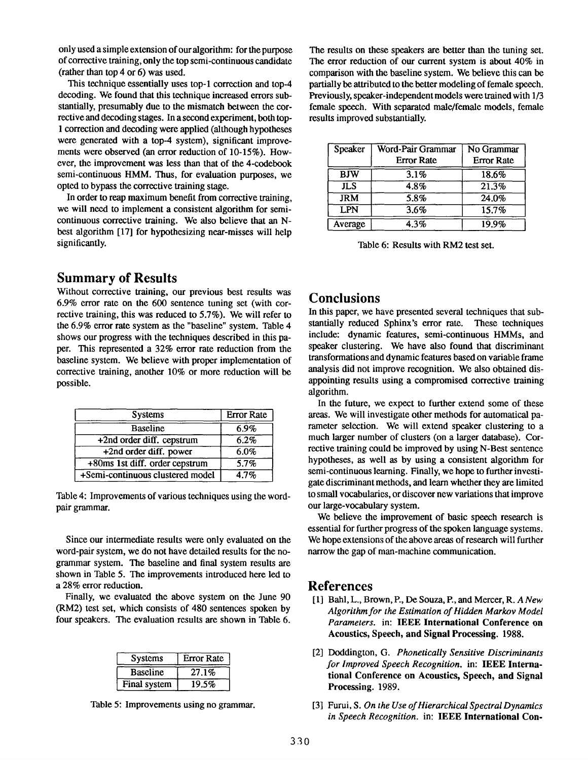only used a simple extension of our algorithm: for the purpose of corrective training, only the top semi-continuous **candidate**  (rather than top 4 or 6) was used.

This technique essentially uses top-1 correction and top-4 decoding. We found that this technique increased errors substantially, presumably due to the mismatch between the corrective and decoding stages. In a second experiment, both top-1 correction and decoding were applied (although hypotheses were generated with a top-4 system), significant improvements were observed (an error reduction of 10-15%). However, the improvement was less than that of the 4-codebook semi-continuous HMM. Thus, for evaluation purposes, we opted to bypass the corrective training stage.

In order to reap maximum benefit from corrective training, we will need to implement a consistent algorithm for semicontinuous corrective training. We also believe that an Nbest algorithm [17] for hypothesizing near-misses will help significantly.

#### **Summary of Results**

Without corrective training, our previous best results was 6.9% error rate on the 600 sentence tuning set (with corrective training, this was reduced to 5.7%). We will refer to the 6.9% error rate system as the "baseline" system. Table 4 shows our progress with the techniques described in this paper. This represented a 32% error rate reduction from the baseline system. We believe with proper implementation of corrective training, another 10% or more reduction will be possible.

| <b>Systems</b>                   | <b>Error Rate</b> |
|----------------------------------|-------------------|
| <b>Baseline</b>                  | 6.9%              |
| +2nd order diff. cepstrum        | 6.2%              |
| +2nd order diff. power           | 6.0%              |
| +80ms 1st diff. order cepstrum   | 5.7%              |
| +Semi-continuous clustered model | 4.7%              |

Table 4: Improvements of various techniques using the wordpair grammar.

Since our intermediate results were only evaluated on the word-pair system, we do not have detailed results for the nogrammar system. The baseline and final system results are shown in Table 5. The improvements introduced here led to a 28% error reduction.

Finally, we evaluated the above system on the June 90 (RM2) test set, which consists of 480 sentences spoken by four speakers. The evaluation results are shown in Table 6.

| <b>Systems</b>  | <b>Error Rate</b> |  |
|-----------------|-------------------|--|
| <b>Baseline</b> | 27.1%             |  |
| Final system    | 19.5%             |  |

Table 5: Improvements using no grammar.

The results on these speakers are better than the tuning set. The error reduction of our current system is about 40% in comparison with the baseline system. We believe this can be partially be attributed to the better modeling of female speech. Previously, speaker-independent models were trained with 1/3 female speech. With separated male/female models, female results improved substantially.

| <b>Speaker</b> | Word-Pair Grammar<br><b>Error Rate</b> | No Grammar<br><b>Error Rate</b> |
|----------------|----------------------------------------|---------------------------------|
| <b>BJW</b>     | 3.1%                                   | 18.6%                           |
| <b>JLS</b>     | 4.8%                                   | 21.3%                           |
| <b>JRM</b>     | 5.8%                                   | 24.0%                           |
| <b>LPN</b>     | 3.6%                                   | 15.7%                           |
| Average        | 4.3%                                   | 19.9%                           |

Table 6: Results with RM2 test set.

#### **Conclusions**

In this paper, we have presented several techniques that substantially reduced Sphinx's error rate. These techniques include: dynamic features, semi-continuous HMMs, and speaker clustering. We have also found that discriminant transformations and dynamic features based on variable frame analysis did not improve recognition. We also obtained disappointing results using a compromised corrective training algorithm.

In the future, we expect to further extend some of these areas. We will investigate other methods for automatical parameter selection. We will extend speaker clustering to a much larger number of clusters (on a larger database). Corrective training could be improved by using N-Best sentence hypotheses, as well as by using a consistent algorithm for semi-continuous learning. Finally, we hope to further investigate discriminant methods, and learn whether they are limited to small vocabularies, or discover new variations that improve our large-vocabulary system.

We believe the improvement of basic speech research is essential for further progress of the spoken language systems. We hope extensions of the above areas of research will further narrow the gap of man-machine communication.

#### **References**

- [1] Bahl, L., Brown, P., De Souza, P., and Mercer, *R. A New Algorithm for the Estimation of Hidden Markov Model Parameters.* in: IEEE **International Conference on Acoustics, Speech, and Signal Processing.** 1988.
- [2] Doddington, G. *Phonetically Sensitive Discriminants for Improved Speech Recognition.* in: IEEE **International Conference on Acoustics, Speech, and Signal Processing.** 1989.
- [3] Furui, S. *On the Use of Hierarchical Spectral Dynamics*  in Speech Recognition. in: **IEEE International Con-**